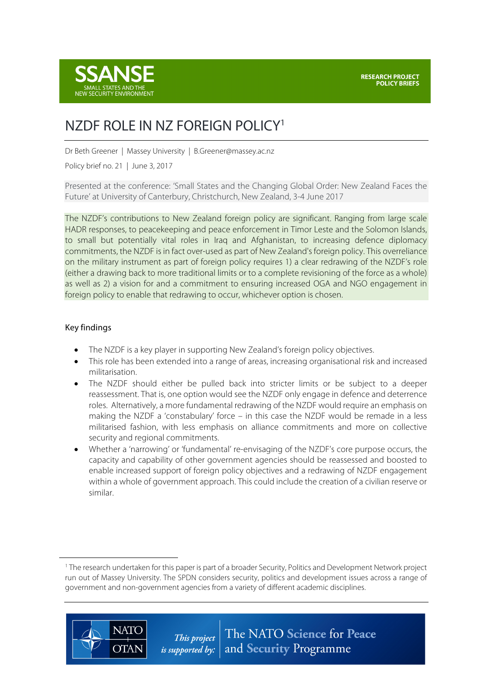

# NZDF ROLE IN NZ FOREIGN POLICY1

Dr Beth Greener | Massey University | B.Greener@massey.ac.nz

Policy brief no. 21 | June 3, 2017

Presented at the conference: 'Small States and the Changing Global Order: New Zealand Faces the Future' at University of Canterbury, Christchurch, New Zealand, 3-4 June 2017

The NZDF's contributions to New Zealand foreign policy are significant. Ranging from large scale HADR responses, to peacekeeping and peace enforcement in Timor Leste and the Solomon Islands, to small but potentially vital roles in Iraq and Afghanistan, to increasing defence diplomacy commitments, the NZDF is in fact over-used as part of New Zealand's foreign policy. This overreliance on the military instrument as part of foreign policy requires 1) a clear redrawing of the NZDF's role (either a drawing back to more traditional limits or to a complete revisioning of the force as a whole) as well as 2) a vision for and a commitment to ensuring increased OGA and NGO engagement in foreign policy to enable that redrawing to occur, whichever option is chosen.

#### Key findings

 $\overline{a}$ 

**NATO** 

**OTAN** 

- The NZDF is a key player in supporting New Zealand's foreign policy objectives.
- This role has been extended into a range of areas, increasing organisational risk and increased militarisation.
- The NZDF should either be pulled back into stricter limits or be subject to a deeper reassessment. That is, one option would see the NZDF only engage in defence and deterrence roles. Alternatively, a more fundamental redrawing of the NZDF would require an emphasis on making the NZDF a 'constabulary' force – in this case the NZDF would be remade in a less militarised fashion, with less emphasis on alliance commitments and more on collective security and regional commitments.
- Whether a 'narrowing' or 'fundamental' re-envisaging of the NZDF's core purpose occurs, the capacity and capability of other government agencies should be reassessed and boosted to enable increased support of foreign policy objectives and a redrawing of NZDF engagement within a whole of government approach. This could include the creation of a civilian reserve or similar.

<sup>1</sup> The research undertaken for this paper is part of a broader Security, Politics and Development Network project run out of Massey University. The SPDN considers security, politics and development issues across a range of government and non-government agencies from a variety of different academic disciplines.

> The NATO Science for Peace This project *is supported by:*  $\vert$  and **Security** Programme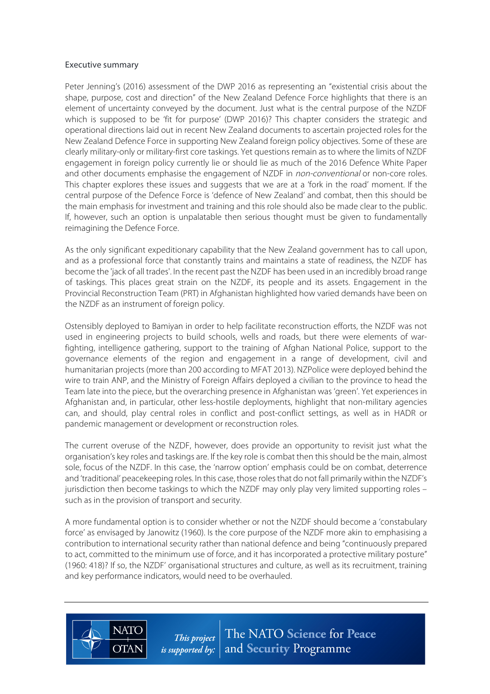#### Executive summary

Peter Jenning's (2016) assessment of the DWP 2016 as representing an "existential crisis about the shape, purpose, cost and direction" of the New Zealand Defence Force highlights that there is an element of uncertainty conveyed by the document. Just what is the central purpose of the NZDF which is supposed to be 'fit for purpose' (DWP 2016)? This chapter considers the strategic and operational directions laid out in recent New Zealand documents to ascertain projected roles for the New Zealand Defence Force in supporting New Zealand foreign policy objectives. Some of these are clearly military-only or military-first core taskings. Yet questions remain as to where the limits of NZDF engagement in foreign policy currently lie or should lie as much of the 2016 Defence White Paper and other documents emphasise the engagement of NZDF in non-conventional or non-core roles. This chapter explores these issues and suggests that we are at a 'fork in the road' moment. If the central purpose of the Defence Force is 'defence of New Zealand' and combat, then this should be the main emphasis for investment and training and this role should also be made clear to the public. If, however, such an option is unpalatable then serious thought must be given to fundamentally reimagining the Defence Force.

As the only significant expeditionary capability that the New Zealand government has to call upon, and as a professional force that constantly trains and maintains a state of readiness, the NZDF has become the 'jack of all trades'. In the recent past the NZDF has been used in an incredibly broad range of taskings. This places great strain on the NZDF, its people and its assets. Engagement in the Provincial Reconstruction Team (PRT) in Afghanistan highlighted how varied demands have been on the NZDF as an instrument of foreign policy.

Ostensibly deployed to Bamiyan in order to help facilitate reconstruction efforts, the NZDF was not used in engineering projects to build schools, wells and roads, but there were elements of warfighting, intelligence gathering, support to the training of Afghan National Police, support to the governance elements of the region and engagement in a range of development, civil and humanitarian projects (more than 200 according to MFAT 2013). NZPolice were deployed behind the wire to train ANP, and the Ministry of Foreign Affairs deployed a civilian to the province to head the Team late into the piece, but the overarching presence in Afghanistan was 'green'. Yet experiences in Afghanistan and, in particular, other less-hostile deployments, highlight that non-military agencies can, and should, play central roles in conflict and post-conflict settings, as well as in HADR or pandemic management or development or reconstruction roles.

The current overuse of the NZDF, however, does provide an opportunity to revisit just what the organisation's key roles and taskings are. If the key role is combat then this should be the main, almost sole, focus of the NZDF. In this case, the 'narrow option' emphasis could be on combat, deterrence and 'traditional' peacekeeping roles. In this case, those rolesthat do not fall primarily within the NZDF's jurisdiction then become taskings to which the NZDF may only play very limited supporting roles – such as in the provision of transport and security.

A more fundamental option is to consider whether or not the NZDF should become a 'constabulary force' as envisaged by Janowitz (1960). Is the core purpose of the NZDF more akin to emphasising a contribution to international security rather than national defence and being "continuously prepared to act, committed to the minimum use of force, and it has incorporated a protective military posture" (1960: 418)? If so, the NZDF' organisational structures and culture, as well as its recruitment, training and key performance indicators, would need to be overhauled.

**NATC** 

**OTAN** 

The NATO Science for Peace This project *is supported by:*  $\vert$  and **Security** Programme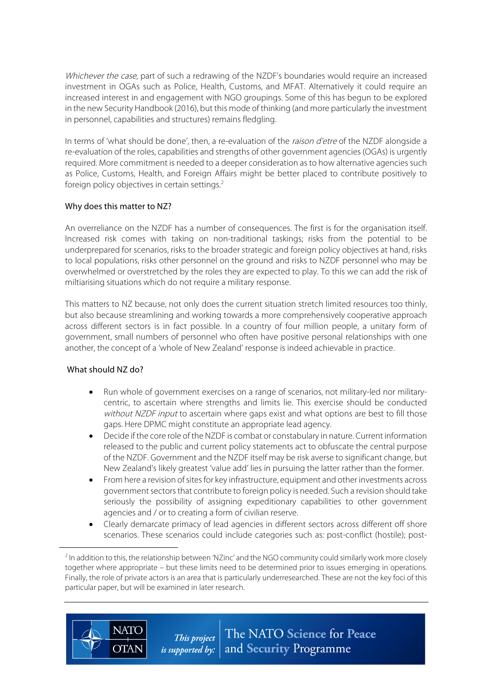Whichever the case, part of such a redrawing of the NZDF's boundaries would require an increased investment in OGAs such as Police, Health, Customs, and MFAT. Alternatively it could require an increased interest in and engagement with NGO groupings. Some of this has begun to be explored in the new Security Handbook (2016), but this mode of thinking (and more particularly the investment in personnel, capabilities and structures) remains fledgling.

In terms of 'what should be done', then, a re-evaluation of the *raison d'etre* of the NZDF alongside a re-evaluation of the roles, capabilities and strengths of other government agencies (OGAs) is urgently required. More commitment is needed to a deeper consideration as to how alternative agencies such as Police, Customs, Health, and Foreign Affairs might be better placed to contribute positively to foreign policy objectives in certain settings.<sup>2</sup>

### Why does this matter to NZ?

An overreliance on the NZDF has a number of consequences. The first is for the organisation itself. Increased risk comes with taking on non-traditional taskings; risks from the potential to be underprepared for scenarios, risks to the broader strategic and foreign policy objectives at hand, risks to local populations, risks other personnel on the ground and risks to NZDF personnel who may be overwhelmed or overstretched by the roles they are expected to play. To this we can add the risk of miltiarising situations which do not require a military response.

This matters to NZ because, not only does the current situation stretch limited resources too thinly, but also because streamlining and working towards a more comprehensively cooperative approach across different sectors is in fact possible. In a country of four million people, a unitary form of government, small numbers of personnel who often have positive personal relationships with one another, the concept of a 'whole of New Zealand' response is indeed achievable in practice.

# What should NZ do?

**NATC** 

**OTAN** 

 $\overline{a}$ 

- Run whole of government exercises on a range of scenarios, not military-led nor militarycentric, to ascertain where strengths and limits lie. This exercise should be conducted without NZDF input to ascertain where gaps exist and what options are best to fill those gaps. Here DPMC might constitute an appropriate lead agency.
- Decide if the core role of the NZDF is combat or constabulary in nature. Current information released to the public and current policy statements act to obfuscate the central purpose of the NZDF. Government and the NZDF itself may be risk averse to significant change, but New Zealand's likely greatest 'value add' lies in pursuing the latter rather than the former.
- From here a revision of sites for key infrastructure, equipment and other investments across government sectors that contribute to foreign policy is needed. Such a revision should take seriously the possibility of assigning expeditionary capabilities to other government agencies and / or to creating a form of civilian reserve.
- Clearly demarcate primacy of lead agencies in different sectors across different off shore scenarios. These scenarios could include categories such as: post-conflict (hostile); post-

The NATO Science for Peace This project *is supported by:*  $|$  and **Security** Programme

<sup>&</sup>lt;sup>2</sup> In addition to this, the relationship between 'NZinc' and the NGO community could similarly work more closely together where appropriate – but these limits need to be determined prior to issues emerging in operations. Finally, the role of private actors is an area that is particularly underresearched. These are not the key foci of this particular paper, but will be examined in later research.